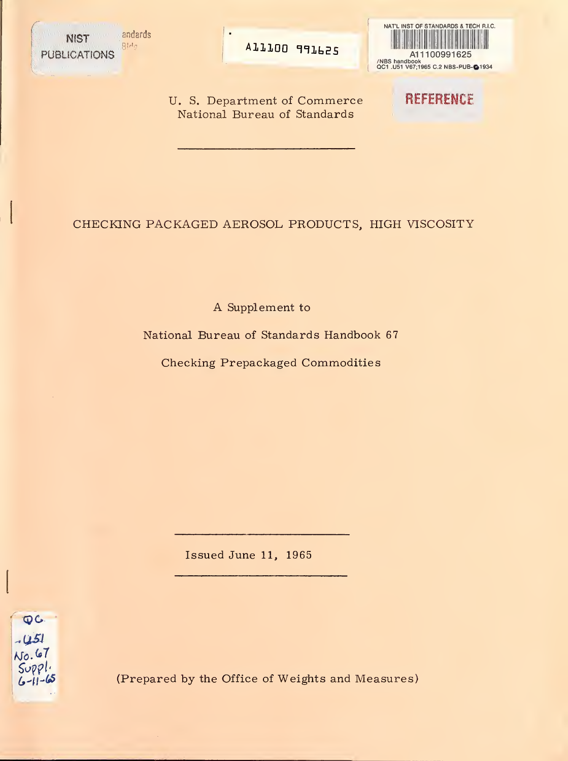andards **NIST Bido PUBLICATIONS** 

**A11100 991625** 

U. S. Department of Commerce REFERENCE National Bureau of Standards



CHECKING PACKAGED AEROSOL PRODUCTS, HIGH VISCOSITY

A Supplement to

National Bureau of Standards Handbook 67

Checking Prepackaged Commodities

Issued June 11, 1965



(Prepared by the Office of Weights and Measures)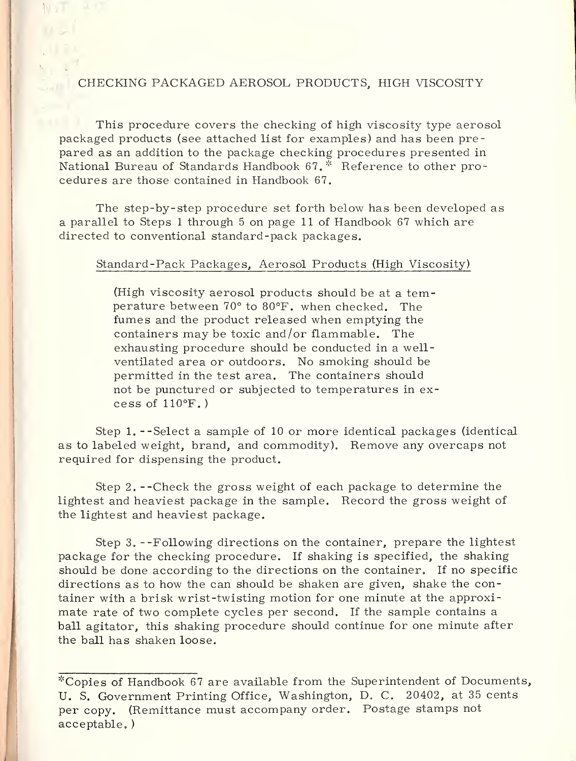## CHECKING PACKAGED AEROSOL PRODUCTS. HIGH VISCOSITY

This procedure covers the checking of high viscosity type aerosol packaged products (see attached list for examples) and has been pre pared as an addition to the package checking procedures presented in National Bureau of Standards Handbook 67.<sup>\*</sup> Reference to other procedures are those contained in Handbook 67.

The step-by-step procedure set forth below has been developed as a parallel to Steps <sup>1</sup> through <sup>5</sup> on page <sup>11</sup> of Handbook 67 which are directed to conventional standard-pack packages.

## Standard-Pack Packages, Aerosol Products (High Viscosity)

(High viscosity aerosol products should be at a tem perature between 70° to 80°F. when checked. The fumes and the product released when emptying the containers may be toxic and/or flammable. The exhausting procedure should be conducted in a wellventilated area or outdoors. No smoking should be permitted in the test area. The containers should not be punctured or subjected to temperatures in ex cess of  $110^{\circ}$ F.)

Step 1. - -Select a sample of 10 or more identical packages (identical as to labeled weight, brand, and commodity). Remove any overcaps not required for dispensing the product.

Step 2. - -Check the gross weight of each package to determine the lightest and heaviest package in the sample. Record the gross weight of the lightest and heaviest package.

Step 3. - -Following directions on the container, prepare the lightest package for the checking procedure. If shaking is specified, the shaking should be done according to the directions on the container. If no specific directions as to how the can should be shaken are given, shake the container with a brisk wrist-twisting motion for one minute at the approximate rate of two complete cycles per second. If the sample contains a ball agitator, this shaking procedure should continue for one minute after the ball has shaken loose.

<sup>\*</sup>Copies of Handbook 67 are available from the Superintendent of Documents, U. S. Government Printing Office, Washington, D. C. 20402, at 35 cents per copy. (Remittance must accompany order. Postage stamps not acceptable. )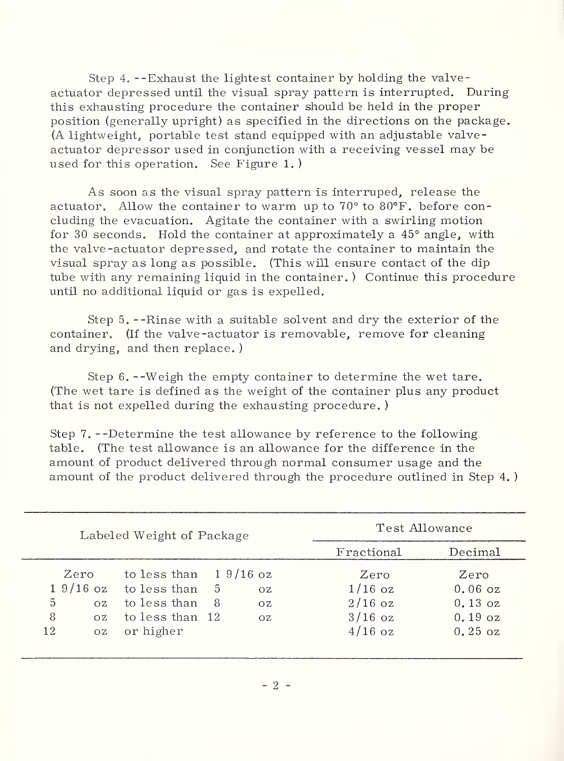Step 4. - -Exhaust the lightest container by holding the valve actuator depressed until the visual spray pattern is interrupted. During this exhausting procedure the container should be held in the proper position (generally upright) as specified in the directions on the package. (A lightweight, portable test stand equipped with an adjustable valveactuator depressor used in conjunction with a receiving vessel may be used for this operation. See Figure 1. )

As soon as the visual spray pattern is interruped, release the actuator. Allow the container to warm up to  $70^{\circ}$  to  $80^{\circ}$ . before concluding the evacuation. Agitate the container with a swirling motion for 30 seconds. Hold the container at approximately a 45° angle, with the valve-actuator depressed, and rotate the container to maintain the visual spray as long as possible. (This will ensure contact of the dip tube with any remaining liquid in the container. ) Continue this procedure until no additional liquid or gas is expelled.

Step 5. - -Rinse with a suitable solvent and dry the exterior of the container. (If the valve-actuator is removable, remove for cleaning and drying, and then replace. )

Step 6. - -Weigh the empty container to determine the wet tare. (The wet tare is defined as the weight of the container plus any product that is not expelled during the exhausting procedure. )

Step 7. - -Determine the test allowance by reference to the following table. (The test allowance is an allowance for the difference in the amount of product delivered through normal consumer usage and the amount of the product delivered through the procedure outlined in Step 4. )

| Labeled Weight of Package |                         |                         |    |      | Test Allowance |             |
|---------------------------|-------------------------|-------------------------|----|------|----------------|-------------|
|                           |                         |                         |    |      | Fractional     | Decimal     |
| Zero                      | to less than $19/16$ oz |                         |    | Zero | Zero           |             |
|                           |                         | $19/16$ oz to less than | -5 | OZ   | $1/16$ oz      | 0.06oz      |
| 5                         | OZ                      | to less than            | -8 | OZ   | $2/16$ oz      | 0.13 oz     |
| 8                         | OZ                      | to less than 12         |    | OZ   | $3/16$ oz      | $0.19$ $oz$ |
| 12                        | OZ                      | or higher               |    |      | $4/16$ oz      | $0.25$ oz   |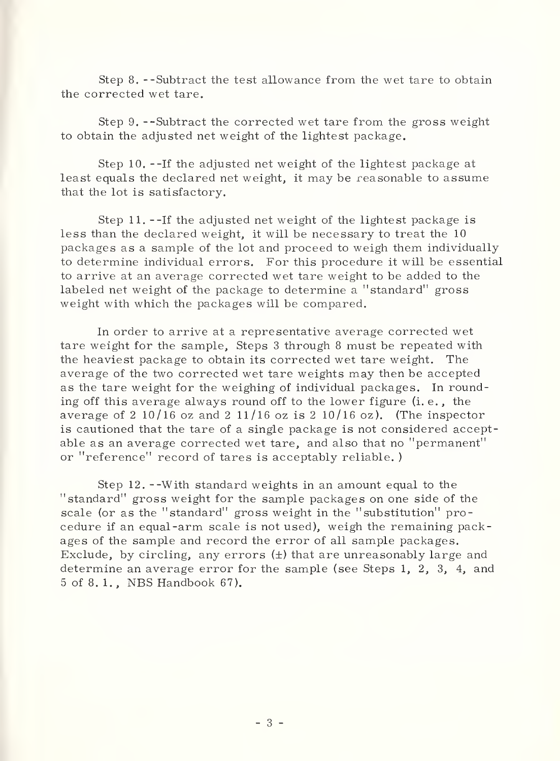Step 8. - -Subtract the test allowance from the wet tare to obtain the corrected wet tare.

Step 9. --Subtract the corrected wet tare from the gross weight to obtain the adjusted net weight of the lightest package.

Step 10. - -If the adjusted net weight of the lightest package at least equals the declared net weight, it may be reasonable to assume that the lot is satisfactory.

Step 11. - -If the adjusted net weight of the lightest package is less than the declared weight, it will be necessary to treat the <sup>10</sup> packages as a sample of the lot and proceed to weigh them individually to determine individual errors. For this procedure it will be essential to arrive at an average corrected wet tare weight to be added to the labeled net weight of the package to determine a "standard" gross weight with which the packages will be compared.

In order to arrive at a representative average corrected wet tare weight for the sample. Steps <sup>3</sup> through <sup>8</sup> must be repeated with the heaviest package to obtain its corrected wet tare weight. The average of the two corrected wet tare weights may then be accepted as the tare weight for the weighing of individual packages. In rounding off this average always round off to the lower figure (i. e. , the average of 2 10/16 oz and 2 11/16 oz is 2 10/16 oz). (The inspector is cautioned that the tare of a single package is not considered acceptable as an average corrected wet tare, and also that no "permanent" or "reference" record of tares is acceptably reliable. )

Step 12. - -With standard weights in an amount equal to the "standard" gross weight for the sample packages on one side of the scale (or as the "standard" gross weight in the "substitution" procedure if an equal-arm scale is not used), weigh the remaining packages of the sample and record the error of all sample packages. Exclude, by circling, any errors  $(\pm)$  that are unreasonably large and determine an average error for the sample (see Steps 1, 2, 3, 4, and <sup>5</sup> of 8. 1. , NBS Handbook 67).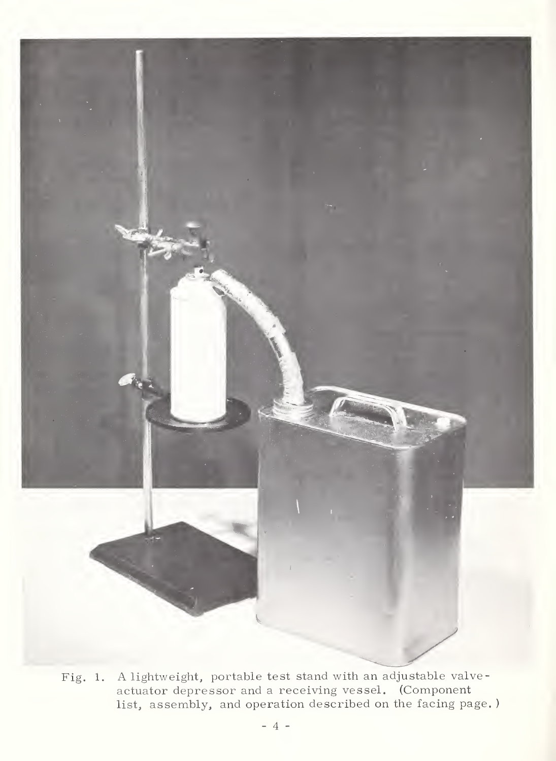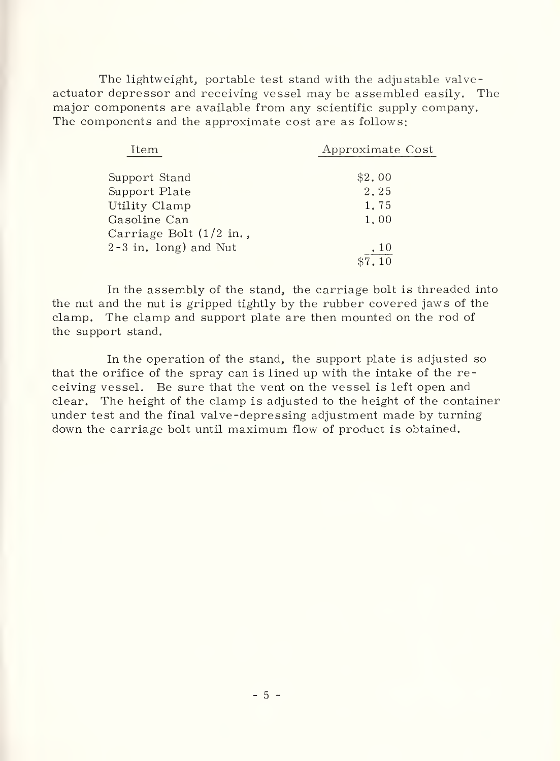The lightweight, portable test stand with the adjustable valveactuator depressor and receiving vessel may be assembled easily. The major components are available from any scientific supply company. The components and the approximate cost are as follows:

| Item                      | Approximate Cost |
|---------------------------|------------------|
|                           |                  |
| Support Stand             | \$2,00           |
| Support Plate             | 2.25             |
| Utility Clamp             | 1.75             |
| Gasoline Can              | 1.00             |
| Carriage Bolt $(1/2$ in., |                  |
| $2-3$ in. long) and Nut   | $\cdot$ 10       |
|                           |                  |

In the assembly of the stand, the carriage bolt is threaded into the nut and the nut is gripped tightly by the rubber covered jaws of the clamp. The clamp and support plate are then mounted on the rod of the support stand.

In the operation of the stand, the support plate is adjusted so that the orifice of the spray can is lined up with the intake of the receiving vessel. Be sure that the vent on the vessel is left open and clear. The height of the clamp is adjusted to the height of the container under test and the final valve-depressing adjustment made by turning down the carriage bolt until maximum flow of product is obtained.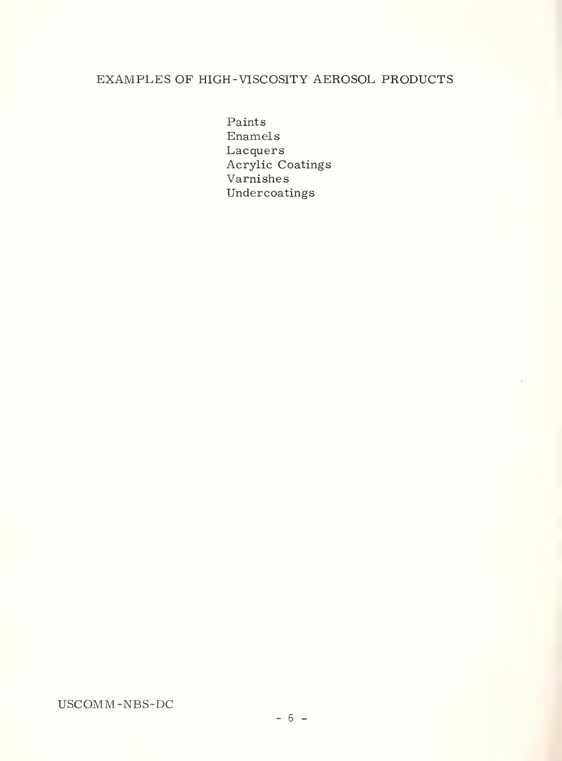## EXAMPLES OF HIGH-VISCOSITY AEROSOL PRODUCTS

Paints Enamels Lacquers Acrylic Coatings Varnishes Undercoatings

USCOMM-NBS-DC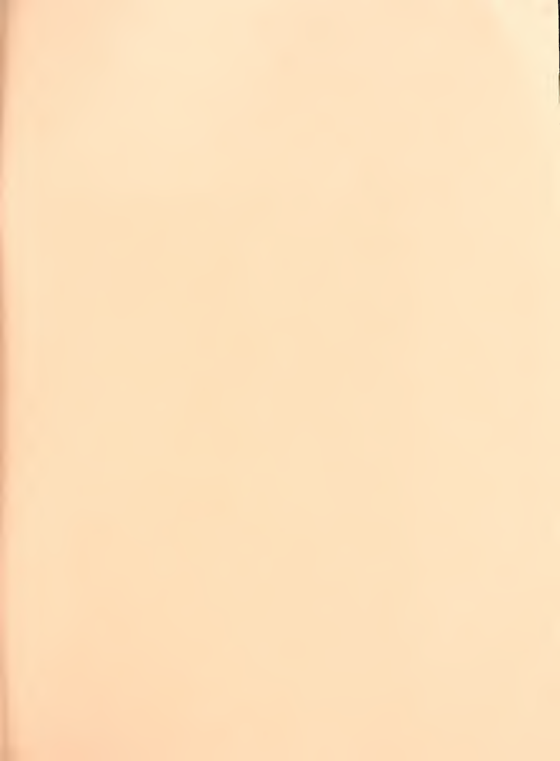